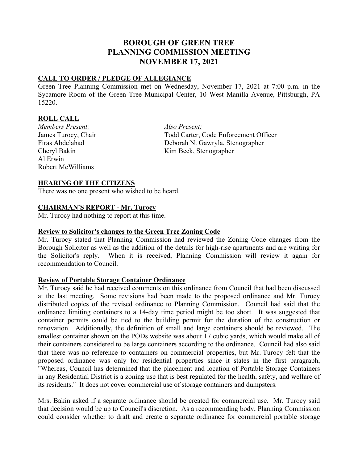# **BOROUGH OF GREEN TREE PLANNING COMMISSION MEETING NOVEMBER 17, 2021**

# **CALL TO ORDER / PLEDGE OF ALLEGIANCE**

Green Tree Planning Commission met on Wednesday, November 17, 2021 at 7:00 p.m. in the Sycamore Room of the Green Tree Municipal Center, 10 West Manilla Avenue, Pittsburgh, PA 15220.

# **ROLL CALL**

*Members Present: Also Present:* Al Erwin Robert McWilliams

James Turocy, Chair Todd Carter, Code Enforcement Officer Firas Abdelahad Deborah N. Gawryla, Stenographer Cheryl Bakin Kim Beck, Stenographer

# **HEARING OF THE CITIZENS**

There was no one present who wished to be heard.

#### **CHAIRMAN'S REPORT - Mr. Turocy**

Mr. Turocy had nothing to report at this time.

# **Review to Solicitor's changes to the Green Tree Zoning Code**

Mr. Turocy stated that Planning Commission had reviewed the Zoning Code changes from the Borough Solicitor as well as the addition of the details for high-rise apartments and are waiting for the Solicitor's reply. When it is received, Planning Commission will review it again for recommendation to Council.

## **Review of Portable Storage Container Ordinance**

Mr. Turocy said he had received comments on this ordinance from Council that had been discussed at the last meeting. Some revisions had been made to the proposed ordinance and Mr. Turocy distributed copies of the revised ordinance to Planning Commission. Council had said that the ordinance limiting containers to a 14-day time period might be too short. It was suggested that container permits could be tied to the building permit for the duration of the construction or renovation. Additionally, the definition of small and large containers should be reviewed. The smallest container shown on the PODs website was about 17 cubic yards, which would make all of their containers considered to be large containers according to the ordinance. Council had also said that there was no reference to containers on commercial properties, but Mr. Turocy felt that the proposed ordinance was only for residential properties since it states in the first paragraph, "Whereas, Council has determined that the placement and location of Portable Storage Containers in any Residential District is a zoning use that is best regulated for the health, safety, and welfare of its residents." It does not cover commercial use of storage containers and dumpsters.

Mrs. Bakin asked if a separate ordinance should be created for commercial use. Mr. Turocy said that decision would be up to Council's discretion. As a recommending body, Planning Commission could consider whether to draft and create a separate ordinance for commercial portable storage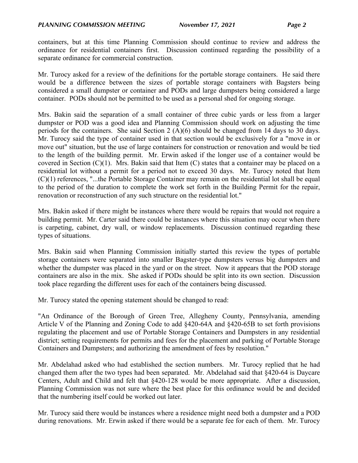containers, but at this time Planning Commission should continue to review and address the ordinance for residential containers first. Discussion continued regarding the possibility of a separate ordinance for commercial construction.

Mr. Turocy asked for a review of the definitions for the portable storage containers. He said there would be a difference between the sizes of portable storage containers with Bagsters being considered a small dumpster or container and PODs and large dumpsters being considered a large container. PODs should not be permitted to be used as a personal shed for ongoing storage.

Mrs. Bakin said the separation of a small container of three cubic yards or less from a larger dumpster or POD was a good idea and Planning Commission should work on adjusting the time periods for the containers. She said Section 2 (A)(6) should be changed from 14 days to 30 days. Mr. Turocy said the type of container used in that section would be exclusively for a "move in or move out" situation, but the use of large containers for construction or renovation and would be tied to the length of the building permit. Mr. Erwin asked if the longer use of a container would be covered in Section  $(C)(1)$ . Mrs. Bakin said that Item  $(C)$  states that a container may be placed on a residential lot without a permit for a period not to exceed 30 days. Mr. Turocy noted that Item (C)(1) references, "...the Portable Storage Container may remain on the residential lot shall be equal to the period of the duration to complete the work set forth in the Building Permit for the repair, renovation or reconstruction of any such structure on the residential lot."

Mrs. Bakin asked if there might be instances where there would be repairs that would not require a building permit. Mr. Carter said there could be instances where this situation may occur when there is carpeting, cabinet, dry wall, or window replacements. Discussion continued regarding these types of situations.

Mrs. Bakin said when Planning Commission initially started this review the types of portable storage containers were separated into smaller Bagster-type dumpsters versus big dumpsters and whether the dumpster was placed in the yard or on the street. Now it appears that the POD storage containers are also in the mix. She asked if PODs should be split into its own section. Discussion took place regarding the different uses for each of the containers being discussed.

Mr. Turocy stated the opening statement should be changed to read:

"An Ordinance of the Borough of Green Tree, Allegheny County, Pennsylvania, amending Article V of the Planning and Zoning Code to add §420-64A and §420-65B to set forth provisions regulating the placement and use of Portable Storage Containers and Dumpsters in any residential district; setting requirements for permits and fees for the placement and parking of Portable Storage Containers and Dumpsters; and authorizing the amendment of fees by resolution."

Mr. Abdelahad asked who had established the section numbers. Mr. Turocy replied that he had changed them after the two types had been separated. Mr. Abdelahad said that §420-64 is Daycare Centers, Adult and Child and felt that §420-128 would be more appropriate. After a discussion, Planning Commission was not sure where the best place for this ordinance would be and decided that the numbering itself could be worked out later.

Mr. Turocy said there would be instances where a residence might need both a dumpster and a POD during renovations. Mr. Erwin asked if there would be a separate fee for each of them. Mr. Turocy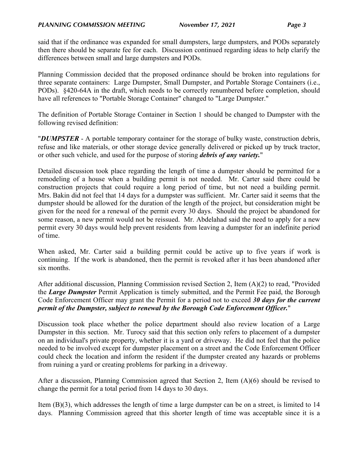said that if the ordinance was expanded for small dumpsters, large dumpsters, and PODs separately then there should be separate fee for each. Discussion continued regarding ideas to help clarify the differences between small and large dumpsters and PODs.

Planning Commission decided that the proposed ordinance should be broken into regulations for three separate containers: Large Dumpster, Small Dumpster, and Portable Storage Containers (i.e., PODs). §420-64A in the draft, which needs to be correctly renumbered before completion, should have all references to "Portable Storage Container" changed to "Large Dumpster."

The definition of Portable Storage Container in Section 1 should be changed to Dumpster with the following revised definition:

"*DUMPSTER* - A portable temporary container for the storage of bulky waste, construction debris, refuse and like materials, or other storage device generally delivered or picked up by truck tractor, or other such vehicle, and used for the purpose of storing *debris of any variety.*"

Detailed discussion took place regarding the length of time a dumpster should be permitted for a remodeling of a house when a building permit is not needed. Mr. Carter said there could be construction projects that could require a long period of time, but not need a building permit. Mrs. Bakin did not feel that 14 days for a dumpster was sufficient. Mr. Carter said it seems that the dumpster should be allowed for the duration of the length of the project, but consideration might be given for the need for a renewal of the permit every 30 days. Should the project be abandoned for some reason, a new permit would not be reissued. Mr. Abdelahad said the need to apply for a new permit every 30 days would help prevent residents from leaving a dumpster for an indefinite period of time.

When asked, Mr. Carter said a building permit could be active up to five years if work is continuing. If the work is abandoned, then the permit is revoked after it has been abandoned after six months.

After additional discussion, Planning Commission revised Section 2, Item (A)(2) to read, "Provided the *Large Dumpster* Permit Application is timely submitted, and the Permit Fee paid, the Borough Code Enforcement Officer may grant the Permit for a period not to exceed *30 days for the current permit of the Dumpster, subject to renewal by the Borough Code Enforcement Officer.*"

Discussion took place whether the police department should also review location of a Large Dumpster in this section. Mr. Turocy said that this section only refers to placement of a dumpster on an individual's private property, whether it is a yard or driveway. He did not feel that the police needed to be involved except for dumpster placement on a street and the Code Enforcement Officer could check the location and inform the resident if the dumpster created any hazards or problems from ruining a yard or creating problems for parking in a driveway.

After a discussion, Planning Commission agreed that Section 2, Item (A)(6) should be revised to change the permit for a total period from 14 days to 30 days.

Item (B)(3), which addresses the length of time a large dumpster can be on a street, is limited to 14 days. Planning Commission agreed that this shorter length of time was acceptable since it is a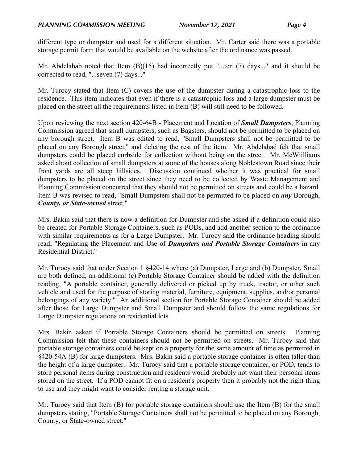different type or dumpster and used for a different situation. Mr. Carter said there was a portable storage permit form that would be available on the website after the ordinance was passed.

Mr. Abdelahab noted that Item (B)(15) had incorrectly put "...ten (7) days..." and it should be corrected to read, "...seven (7) days..."

Mr. Turocy stated that Item (C) covers the use of the dumpster during a catastrophic loss to the residence. This item indicates that even if there is a catastrophic loss and a large dumpster must be placed on the street all the requirements listed in Item (B) will still need to be followed.

Upon reviewing the next section 420-64B - Placement and Location of *Small Dumpsters*, Planning Commission agreed that small dumpsters, such as Bagsters, should not be permitted to be placed on any borough street. Item B was edited to read, "Small Dumpsters shall not be permitted to be placed on any Borough street," and deleting the rest of the item. Mr. Abdelahad felt that small dumpsters could be placed curbside for collection without being on the street. Mr. McWiilliams asked about collection of small dumpsters at some of the houses along Noblestown Road since their front yards are all steep hillsides. Discussion continued whether it was practical for small dumpsters to be placed on the street since they need to be collected by Waste Management and Planning Commission concurred that they should not be permitted on streets and could be a hazard. Item B was revised to read, "Small Dumpsters shall not be permitted to be placed on *any* Borough, *County, or State-owned* street."

Mrs. Bakin said that there is now a definition for Dumpster and she asked if a definition could also be created for Portable Storage Containers, such as PODs, and add another section to the ordinance with similar requirements as for a Large Dumpster. Mr. Turocy said the ordinance heading should read, "Regulating the Placement and Use of *Dumpsters and Portable Storage Containers* in any Residential District."

Mr. Turocy said that under Section 1  $§$ 420-14 where (a) Dumpster, Large and (b) Dumpster, Small are both defined, an additional (c) Portable Storage Container should be added with the definition reading, "A portable container, generally delivered or picked up by truck, tractor, or other such vehicle and used for the purpose of storing material, furniture, equipment, supplies, and/or personal belongings of any variety." An additional section for Portable Storage Container should be added after those for Large Dumpster and Small Dumpster and should follow the same regulations for Large Dumpster regulations on residential lots.

Mrs. Bakin asked if Portable Storage Containers should be permitted on streets. Planning Commission felt that these containers should not be permitted on streets. Mr. Turocy said that portable storage containers could be kept on a property for the same amount of time as permitted in §420-54A (B) for large dumpsters. Mrs. Bakin said a portable storage container is often taller than the height of a large dumpster. Mr. Turocy said that a portable storage container, or POD, tends to store personal items during construction and residents would probably not want their personal items stored on the street. If a POD cannot fit on a resident's property then it probably not the right thing to use and they might want to consider renting a storage unit.

Mr. Turocy said that Item (B) for portable storage containers should use the Item (B) for the small dumpsters stating, "Portable Storage Containers shall not be permitted to be placed on any Borough, County, or State-owned street."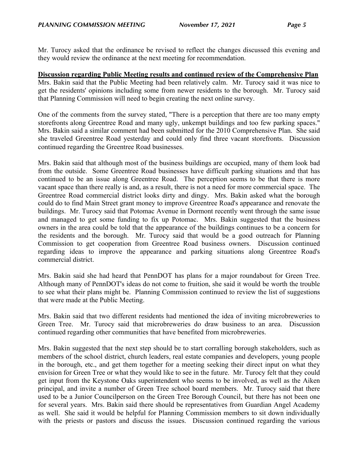Mr. Turocy asked that the ordinance be revised to reflect the changes discussed this evening and they would review the ordinance at the next meeting for recommendation.

# **Discussion regarding Public Meeting results and continued review of the Comprehensive Plan**

Mrs. Bakin said that the Public Meeting had been relatively calm. Mr. Turocy said it was nice to get the residents' opinions including some from newer residents to the borough. Mr. Turocy said that Planning Commission will need to begin creating the next online survey.

One of the comments from the survey stated, "There is a perception that there are too many empty storefronts along Greentree Road and many ugly, unkempt buildings and too few parking spaces." Mrs. Bakin said a similar comment had been submitted for the 2010 Comprehensive Plan. She said she traveled Greentree Road yesterday and could only find three vacant storefronts. Discussion continued regarding the Greentree Road businesses.

Mrs. Bakin said that although most of the business buildings are occupied, many of them look bad from the outside. Some Greentree Road businesses have difficult parking situations and that has continued to be an issue along Greentree Road. The perception seems to be that there is more vacant space than there really is and, as a result, there is not a need for more commercial space. The Greentree Road commercial district looks dirty and dingy. Mrs. Bakin asked what the borough could do to find Main Street grant money to improve Greentree Road's appearance and renovate the buildings. Mr. Turocy said that Potomac Avenue in Dormont recently went through the same issue and managed to get some funding to fix up Potomac. Mrs. Bakin suggested that the business owners in the area could be told that the appearance of the buildings continues to be a concern for the residents and the borough. Mr. Turocy said that would be a good outreach for Planning Commission to get cooperation from Greentree Road business owners. Discussion continued regarding ideas to improve the appearance and parking situations along Greentree Road's commercial district.

Mrs. Bakin said she had heard that PennDOT has plans for a major roundabout for Green Tree. Although many of PennDOT's ideas do not come to fruition, she said it would be worth the trouble to see what their plans might be. Planning Commission continued to review the list of suggestions that were made at the Public Meeting.

Mrs. Bakin said that two different residents had mentioned the idea of inviting microbreweries to Green Tree. Mr. Turocy said that microbreweries do draw business to an area. Discussion continued regarding other communities that have benefited from microbreweries.

Mrs. Bakin suggested that the next step should be to start corralling borough stakeholders, such as members of the school district, church leaders, real estate companies and developers, young people in the borough, etc., and get them together for a meeting seeking their direct input on what they envision for Green Tree or what they would like to see in the future. Mr. Turocy felt that they could get input from the Keystone Oaks superintendent who seems to be involved, as well as the Aiken principal, and invite a number of Green Tree school board members. Mr. Turocy said that there used to be a Junior Councilperson on the Green Tree Borough Council, but there has not been one for several years. Mrs. Bakin said there should be representatives from Guardian Angel Academy as well. She said it would be helpful for Planning Commission members to sit down individually with the priests or pastors and discuss the issues. Discussion continued regarding the various